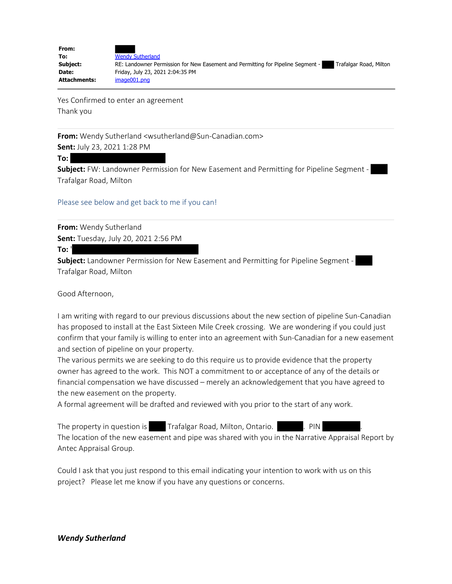| From:               |                                                                                                           |
|---------------------|-----------------------------------------------------------------------------------------------------------|
| To:                 | <b>Wendy Sutherland</b>                                                                                   |
| Subject:            | Trafalgar Road, Milton<br>RE: Landowner Permission for New Easement and Permitting for Pipeline Segment - |
| Date:               | Friday, July 23, 2021 2:04:35 PM                                                                          |
| <b>Attachments:</b> | image001.png                                                                                              |

Yes Confirmed to enter an agreement Thank you

**From:** Wendy Sutherland <wsutherland@Sun-Canadian.com>

**Sent:** July 23, 2021 1:28 PM

**To:**

**Subject:** FW: Landowner Permission for New Easement and Permitting for Pipeline Segment - Trafalgar Road, Milton

Please see below and get back to me if you can!

**From:** Wendy Sutherland **Sent:** Tuesday, July 20, 2021 2:56 PM

**To:** '

**Subject:** Landowner Permission for New Easement and Permitting for Pipeline Segment - Trafalgar Road, Milton

Good Afternoon,

I am writing with regard to our previous discussions about the new section of pipeline Sun-Canadian has proposed to install at the East Sixteen Mile Creek crossing. We are wondering if you could just confirm that your family is willing to enter into an agreement with Sun-Canadian for a new easement and section of pipeline on your property.

The various permits we are seeking to do this require us to provide evidence that the property owner has agreed to the work. This NOT a commitment to or acceptance of any of the details or financial compensation we have discussed – merely an acknowledgement that you have agreed to the new easement on the property.

A formal agreement will be drafted and reviewed with you prior to the start of any work.

The property in question is Trafalgar Road, Milton, Ontario. **.** PIN

The location of the new easement and pipe was shared with you in the Narrative Appraisal Report by Antec Appraisal Group.

Could I ask that you just respond to this email indicating your intention to work with us on this project? Please let me know if you have any questions or concerns.